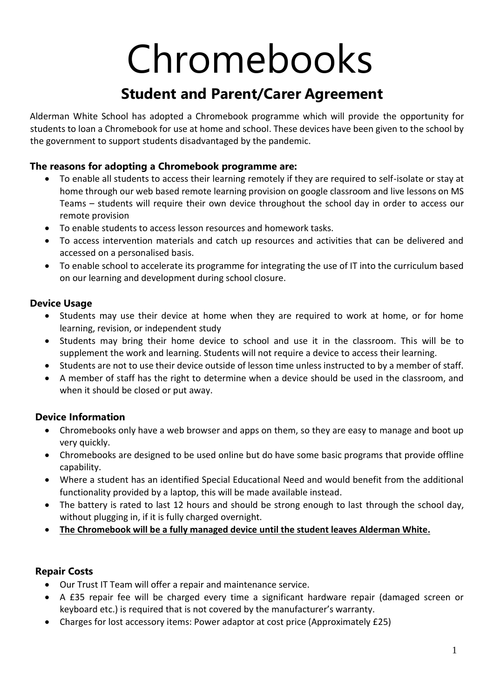# Chromebooks

# **Student and Parent/Carer Agreement**

Alderman White School has adopted a Chromebook programme which will provide the opportunity for students to loan a Chromebook for use at home and school. These devices have been given to the school by the government to support students disadvantaged by the pandemic.

## **The reasons for adopting a Chromebook programme are:**

- To enable all students to access their learning remotely if they are required to self-isolate or stay at home through our web based remote learning provision on google classroom and live lessons on MS Teams – students will require their own device throughout the school day in order to access our remote provision
- To enable students to access lesson resources and homework tasks.
- To access intervention materials and catch up resources and activities that can be delivered and accessed on a personalised basis.
- To enable school to accelerate its programme for integrating the use of IT into the curriculum based on our learning and development during school closure.

#### **Device Usage**

- Students may use their device at home when they are required to work at home, or for home learning, revision, or independent study
- Students may bring their home device to school and use it in the classroom. This will be to supplement the work and learning. Students will not require a device to access their learning.
- Students are not to use their device outside of lesson time unless instructed to by a member of staff.
- A member of staff has the right to determine when a device should be used in the classroom, and when it should be closed or put away.

# **Device Information**

- Chromebooks only have a web browser and apps on them, so they are easy to manage and boot up very quickly.
- Chromebooks are designed to be used online but do have some basic programs that provide offline capability.
- Where a student has an identified Special Educational Need and would benefit from the additional functionality provided by a laptop, this will be made available instead.
- The battery is rated to last 12 hours and should be strong enough to last through the school day, without plugging in, if it is fully charged overnight.
- **The Chromebook will be a fully managed device until the student leaves Alderman White.**

#### **Repair Costs**

- Our Trust IT Team will offer a repair and maintenance service.
- A £35 repair fee will be charged every time a significant hardware repair (damaged screen or keyboard etc.) is required that is not covered by the manufacturer's warranty.
- Charges for lost accessory items: Power adaptor at cost price (Approximately £25)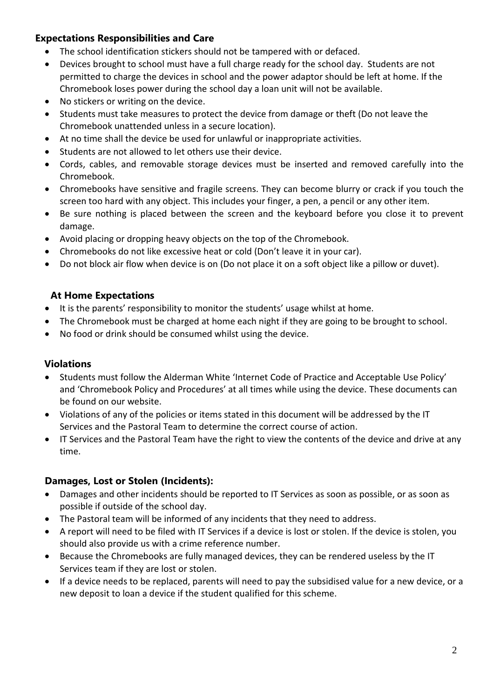## **Expectations Responsibilities and Care**

- The school identification stickers should not be tampered with or defaced.
- Devices brought to school must have a full charge ready for the school day. Students are not permitted to charge the devices in school and the power adaptor should be left at home. If the Chromebook loses power during the school day a loan unit will not be available.
- No stickers or writing on the device.
- Students must take measures to protect the device from damage or theft (Do not leave the Chromebook unattended unless in a secure location).
- At no time shall the device be used for unlawful or inappropriate activities.
- Students are not allowed to let others use their device.
- Cords, cables, and removable storage devices must be inserted and removed carefully into the Chromebook.
- Chromebooks have sensitive and fragile screens. They can become blurry or crack if you touch the screen too hard with any object. This includes your finger, a pen, a pencil or any other item.
- Be sure nothing is placed between the screen and the keyboard before you close it to prevent damage.
- Avoid placing or dropping heavy objects on the top of the Chromebook.
- Chromebooks do not like excessive heat or cold (Don't leave it in your car).
- Do not block air flow when device is on (Do not place it on a soft object like a pillow or duvet).

#### **At Home Expectations**

- It is the parents' responsibility to monitor the students' usage whilst at home.
- The Chromebook must be charged at home each night if they are going to be brought to school.
- No food or drink should be consumed whilst using the device.

#### **Violations**

- Students must follow the Alderman White 'Internet Code of Practice and Acceptable Use Policy' and 'Chromebook Policy and Procedures' at all times while using the device. These documents can be found on our website.
- Violations of any of the policies or items stated in this document will be addressed by the IT Services and the Pastoral Team to determine the correct course of action.
- IT Services and the Pastoral Team have the right to view the contents of the device and drive at any time.

#### **Damages, Lost or Stolen (Incidents):**

- Damages and other incidents should be reported to IT Services as soon as possible, or as soon as possible if outside of the school day.
- The Pastoral team will be informed of any incidents that they need to address.
- A report will need to be filed with IT Services if a device is lost or stolen. If the device is stolen, you should also provide us with a crime reference number.
- Because the Chromebooks are fully managed devices, they can be rendered useless by the IT Services team if they are lost or stolen.
- If a device needs to be replaced, parents will need to pay the subsidised value for a new device, or a new deposit to loan a device if the student qualified for this scheme.